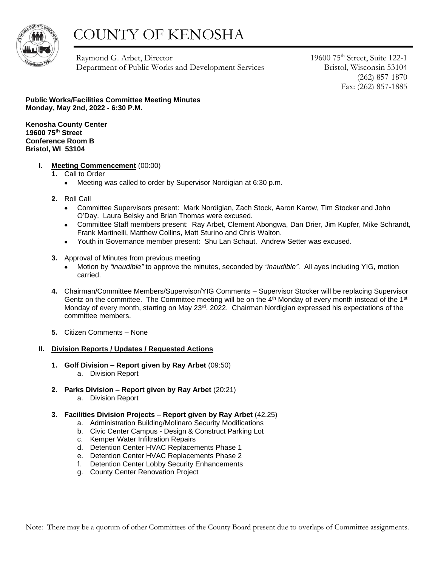

## COUNTY OF KENOSHA

Raymond G. Arbet, Director Department of Public Works and Development Services 19600 75th Street, Suite 122-1 Bristol, Wisconsin 53104 (262) 857-1870 Fax: (262) 857-1885

**Public Works/Facilities Committee Meeting Minutes Monday, May 2nd, 2022 - 6:30 P.M.**

**Kenosha County Center 19600 75th Street Conference Room B Bristol, WI 53104**

- **I. Meeting Commencement** (00:00)
	- **1.** Call to Order
		- Meeting was called to order by Supervisor Nordigian at 6:30 p.m.
	- **2.** Roll Call
		- Committee Supervisors present: Mark Nordigian, Zach Stock, Aaron Karow, Tim Stocker and John O'Day. Laura Belsky and Brian Thomas were excused.
		- Committee Staff members present: Ray Arbet, Clement Abongwa, Dan Drier, Jim Kupfer, Mike Schrandt, Frank Martinelli, Matthew Collins, Matt Sturino and Chris Walton.
		- Youth in Governance member present: Shu Lan Schaut. Andrew Setter was excused.
	- **3.** Approval of Minutes from previous meeting
		- Motion by *"inaudible"* to approve the minutes, seconded by *"inaudible"*. All ayes including YIG, motion carried.
	- **4.** Chairman/Committee Members/Supervisor/YIG Comments Supervisor Stocker will be replacing Supervisor Gentz on the committee. The Committee meeting will be on the  $4<sup>th</sup>$  Monday of every month instead of the  $1<sup>st</sup>$ Monday of every month, starting on May 23<sup>rd</sup>, 2022. Chairman Nordigian expressed his expectations of the committee members.
	- **5.** Citizen Comments None

## **II. Division Reports / Updates / Requested Actions**

- **1. Golf Division – Report given by Ray Arbet** (09:50) a. Division Report
- **2. Parks Division – Report given by Ray Arbet** (20:21) a. Division Report
- **3. Facilities Division Projects – Report given by Ray Arbet** (42.25)
	- a. Administration Building/Molinaro Security Modifications
	- b. Civic Center Campus Design & Construct Parking Lot
	- c. Kemper Water Infiltration Repairs
	- d. Detention Center HVAC Replacements Phase 1
	- e. Detention Center HVAC Replacements Phase 2
	- f. Detention Center Lobby Security Enhancements
	- g. County Center Renovation Project